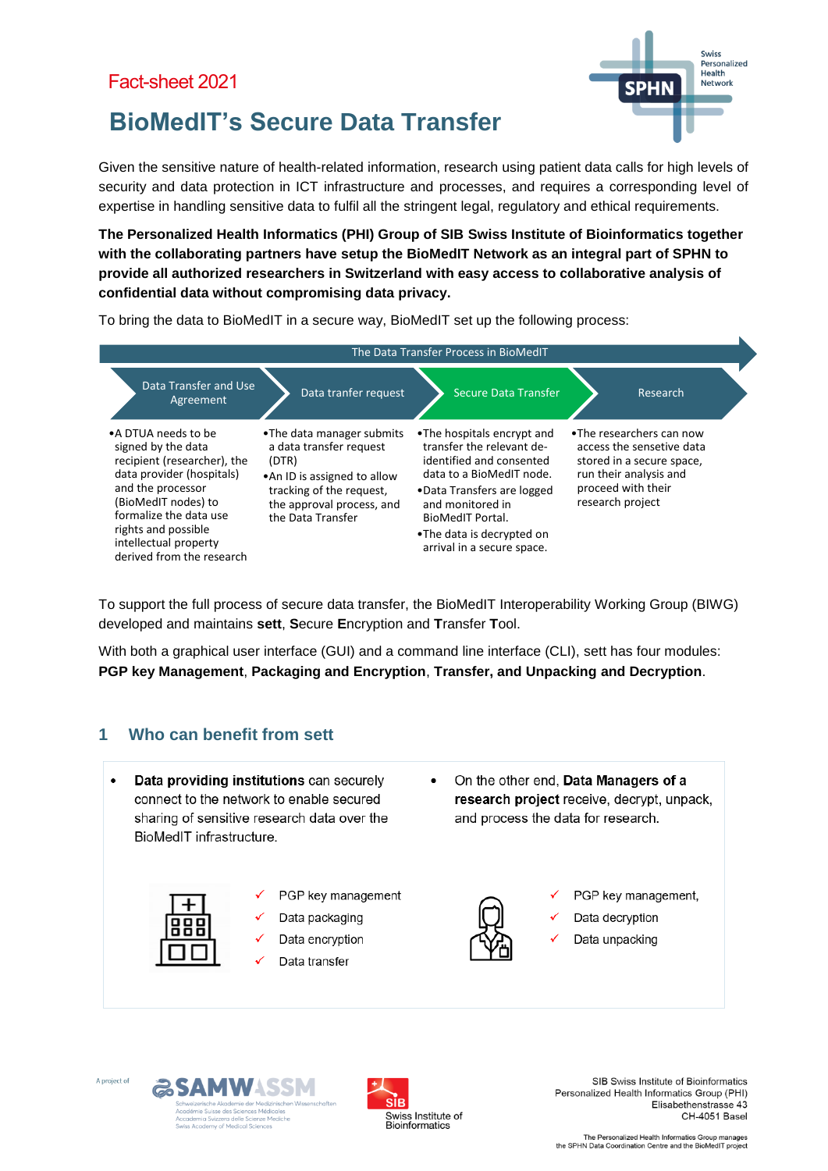

# **BioMedIT's Secure Data Transfer**

Given the sensitive nature of health-related information, research using patient data calls for high levels of security and data protection in ICT infrastructure and processes, and requires a corresponding level of expertise in handling sensitive data to fulfil all the stringent legal, regulatory and ethical requirements.

**The Personalized Health Informatics (PHI) Group of SIB Swiss Institute of Bioinformatics together with the collaborating partners have setup the BioMedIT Network as an integral part of SPHN to provide all authorized researchers in Switzerland with easy access to collaborative analysis of confidential data without compromising data privacy.**

To bring the data to BioMedIT in a secure way, BioMedIT set up the following process:



To support the full process of secure data transfer, the BioMedIT Interoperability Working Group (BIWG) developed and maintains **sett**, **S**ecure **E**ncryption and **T**ransfer **T**ool.

With both a graphical user interface (GUI) and a command line interface (CLI), sett has four modules: **PGP key Management**, **Packaging and Encryption**, **Transfer, and Unpacking and Decryption**.

# **1 Who can benefit from sett**

Data providing institutions can securely connect to the network to enable secured sharing of sensitive research data over the BioMedIT infrastructure



- PGP key management
- Data packaging
- Data encryption
- Data transfer

On the other end, Data Managers of a research project receive, decrypt, unpack, and process the data for research.



- PGP key management,
- Data decryption
- Data unpacking







SIB Swiss Institute of Bioinformatics Personalized Health Informatics Group (PHI) Elisabethenstrasse 43 CH-4051 Basel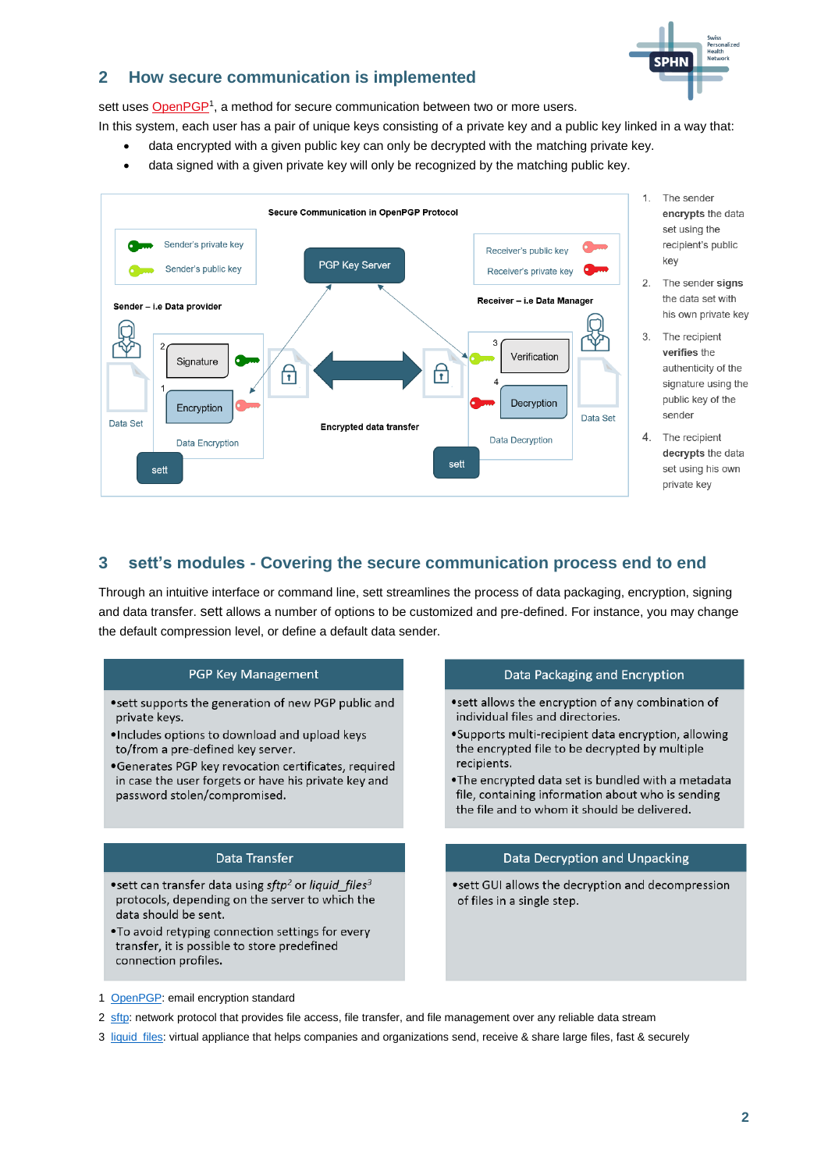

# **2 How secure communication is implemented**

sett uses [OpenPGP](https://www.openpgp.org/)<sup>1</sup>, a method for secure communication between two or more users.

In this system, each user has a pair of unique keys consisting of a private key and a public key linked in a way that:

- data encrypted with a given public key can only be decrypted with the matching private key.
- data signed with a given private key will only be recognized by the matching public key.



- 1. The sender encrypts the data set using the recipient's public key
- 2. The sender signs the data set with his own private key
- 3. The recipient verifies the authenticity of the signature using the public key of the sender
- 4. The recipient decrypts the data set using his own private key

# **3 sett's modules - Covering the secure communication process end to end**

Through an intuitive interface or command line, sett streamlines the process of data packaging, encryption, signing and data transfer. sett allows a number of options to be customized and pre-defined. For instance, you may change the default compression level, or define a default data sender.

#### PGP Key Management

- sett supports the generation of new PGP public and private keys.
- .Includes options to download and upload keys to/from a pre-defined key server.
- •Generates PGP key revocation certificates, required in case the user forgets or have his private key and password stolen/compromised.

### **Data Transfer**

- \*sett can transfer data using sftp<sup>2</sup> or liquid\_files<sup>3</sup> protocols, depending on the server to which the data should be sent.
- . To avoid retyping connection settings for every transfer, it is possible to store predefined connection profiles.

#### Data Packaging and Encryption

- •sett allows the encryption of any combination of individual files and directories.
- ·Supports multi-recipient data encryption, allowing the encrypted file to be decrypted by multiple recipients.
- . The encrypted data set is bundled with a metadata file, containing information about who is sending the file and to whom it should be delivered.

#### Data Decryption and Unpacking

• sett GUI allows the decryption and decompression of files in a single step.

- 1 [OpenPGP:](https://www.openpgp.org/) email encryption standard
- 2 [sftp:](https://en.wikipedia.org/wiki/SSH_File_Transfer_Protocol) network protocol that provides file access, file transfer, and file management over any reliable data stream
- 3 [liquid\\_files:](https://www.liquidfiles.com/) virtual appliance that helps companies and organizations send, receive & share large files, fast & securely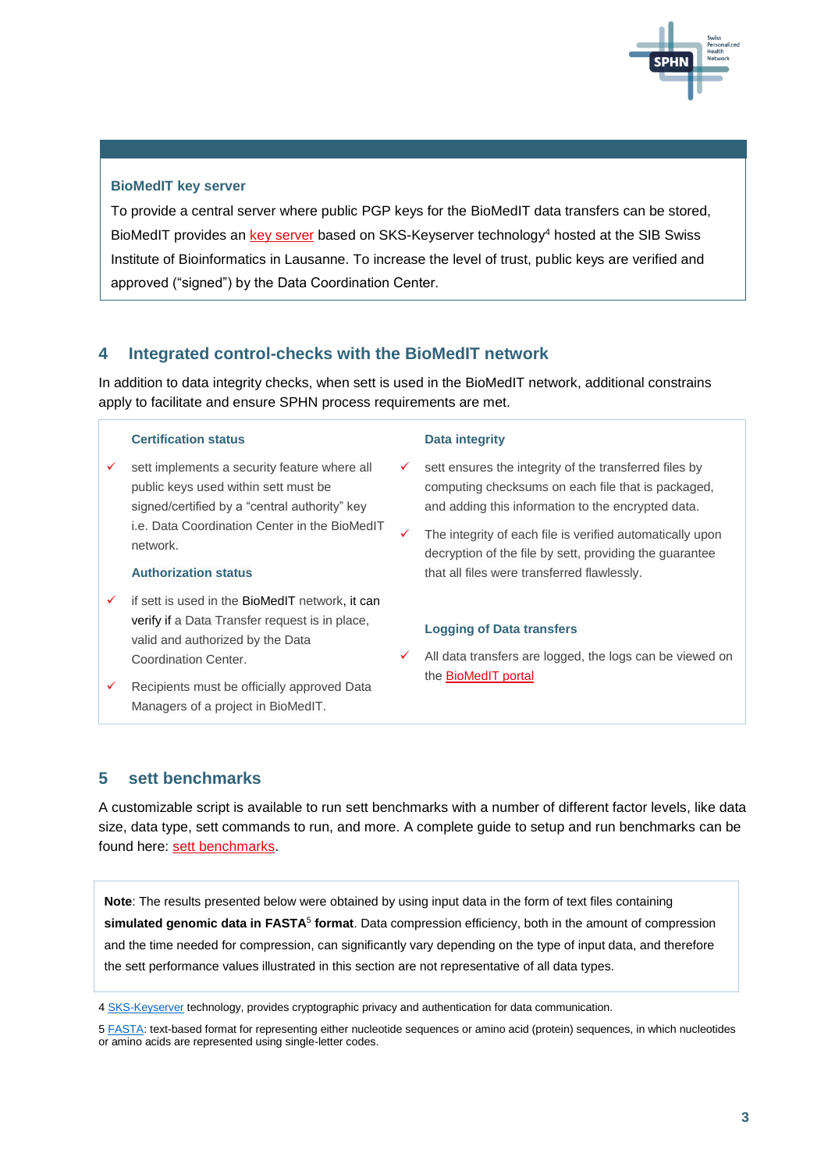

#### **BioMedIT key server**

To provide a central server where public PGP keys for the BioMedIT data transfers can be stored, BioMedIT provides an [key server](https://keyserver.dcc.sib.swiss/) based on SKS-Keyserver technology<sup>4</sup> hosted at the SIB Swiss Institute of Bioinformatics in Lausanne. To increase the level of trust, public keys are verified and approved ("signed") by the Data Coordination Center.

## **4 Integrated control-checks with the BioMedIT network**

In addition to data integrity checks, when sett is used in the BioMedIT network, additional constrains apply to facilitate and ensure SPHN process requirements are met.

#### **Certification status**

 sett implements a security feature where all public keys used within sett must be signed/certified by a "central authority" key i.e. Data Coordination Center in the BioMedIT network.

#### **Authorization status**

- if sett is used in the BioMedIT network, it can verify if a Data Transfer request is in place, valid and authorized by the Data Coordination Center.
- Recipients must be officially approved Data Managers of a project in BioMedIT.

#### **Data integrity**

- sett ensures the integrity of the transferred files by computing checksums on each file that is packaged, and adding this information to the encrypted data.
- The integrity of each file is verified automatically upon decryption of the file by sett, providing the guarantee that all files were transferred flawlessly.

#### **Logging of Data transfers**

 All data transfers are logged, the logs can be viewed on the [BioMedIT portal](https://portal.dcc.sib.swiss/)

# **5 sett benchmarks**

A customizable script is available to run sett benchmarks with a number of different factor levels, like data size, data type, sett commands to run, and more. A complete guide to setup and run benchmarks can be found here: [sett benchmarks.](https://sett.readthedocs.io/en/stable/benchmarks.html)

**Note**: The results presented below were obtained by using input data in the form of text files containing **simulated genomic data in FASTA**<sup>5</sup> **format**. Data compression efficiency, both in the amount of compression and the time needed for compression, can significantly vary depending on the type of input data, and therefore the sett performance values illustrated in this section are not representative of all data types.

<sup>4</sup> [SKS-Keyserver](https://sks-keyservers.net/) technology, provides cryptographic privacy and authentication for data communication.

<sup>5</sup> [FASTA:](https://en.wikipedia.org/wiki/FASTA_format) text-based format for representing either nucleotide sequences or amino acid (protein) sequences, in which nucleotides or amino acids are represented using single-letter codes.